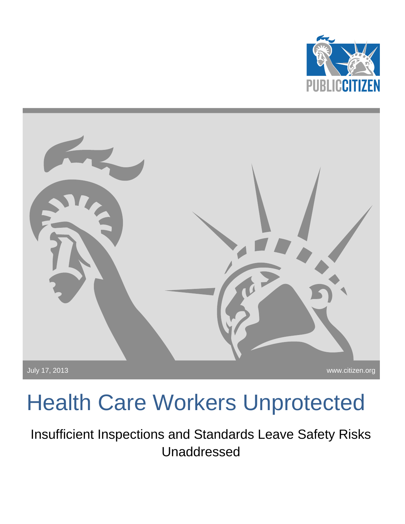



# Health Care Workers Unprotected

Insufficient Inspections and Standards Leave Safety Risks Unaddressed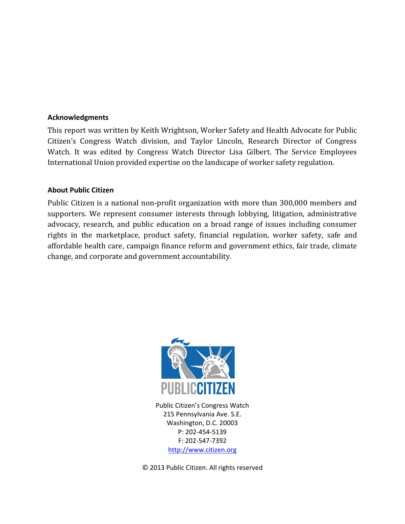#### **Acknowledgments**

This report was written by Keith Wrightson, Worker Safety and Health Advocate for Public Citizen's Congress Watch division, and Taylor Lincoln, Research Director of Congress Watch. It was edited by Congress Watch Director Lisa Gilbert. The Service Employees International Union provided expertise on the landscape of worker safety regulation.

#### **About Public Citizen**

Public Citizen is a national non-profit organization with more than 300,000 members and supporters. We represent consumer interests through lobbying, litigation, administrative advocacy, research, and public education on a broad range of issues including consumer rights in the marketplace, product safety, financial regulation, worker safety, safe and affordable health care, campaign finance reform and government ethics, fair trade, climate change, and corporate and government accountability.



Public Citizen's Congress Watch 215 Pennsylvania Ave. S.E. Washington, D.C. 20003 P: 202-454-5139 F: 202-547-7392 [http://www.citizen.org](http://www.citizen.org/)

© 2013 Public Citizen. All rights reserved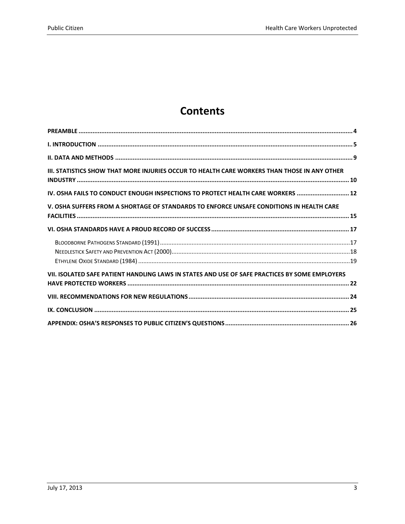# **Contents**

| III. STATISTICS SHOW THAT MORE INJURIES OCCUR TO HEALTH CARE WORKERS THAN THOSE IN ANY OTHER   |
|------------------------------------------------------------------------------------------------|
| IV. OSHA FAILS TO CONDUCT ENOUGH INSPECTIONS TO PROTECT HEALTH CARE WORKERS  12                |
| V. OSHA SUFFERS FROM A SHORTAGE OF STANDARDS TO ENFORCE UNSAFE CONDITIONS IN HEALTH CARE       |
|                                                                                                |
|                                                                                                |
| VII. ISOLATED SAFE PATIENT HANDLING LAWS IN STATES AND USE OF SAFE PRACTICES BY SOME EMPLOYERS |
|                                                                                                |
|                                                                                                |
|                                                                                                |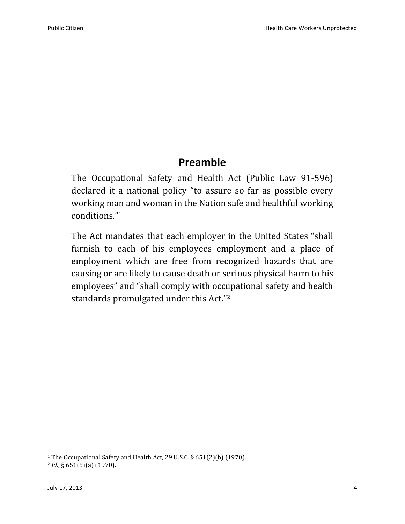### **Preamble**

<span id="page-3-0"></span>The Occupational Safety and Health Act (Public Law 91-596) declared it a national policy "to assure so far as possible every working man and woman in the Nation safe and healthful working conditions."<sup>1</sup>

The Act mandates that each employer in the United States "shall furnish to each of his employees employment and a place of employment which are free from recognized hazards that are causing or are likely to cause death or serious physical harm to his employees" and "shall comply with occupational safety and health standards promulgated under this Act."<sup>2</sup>

<sup>1</sup> The Occupational Safety and Health Act, 29 U.S.C. § 651(2)(b) (1970).

<sup>2</sup> *Id.*, § 651(5)(a) (1970).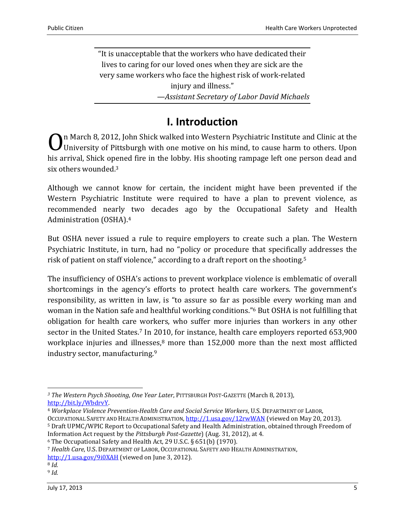"It is unacceptable that the workers who have dedicated their lives to caring for our loved ones when they are sick are the very same workers who face the highest risk of work-related injury and illness." *—Assistant Secretary of Labor David Michaels* 

### **I. Introduction**

<span id="page-4-0"></span>**O**n March 8, 2012, John Shick walked into Western Psychiatric Institute and Clinic at the University of Pittsburgh with one motive on his mind, to cause harm to others. Upon University of Pittsburgh with one motive on his mind, to cause harm to others. Upon his arrival, Shick opened fire in the lobby. His shooting rampage left one person dead and six others wounded.<sup>3</sup>

Although we cannot know for certain, the incident might have been prevented if the Western Psychiatric Institute were required to have a plan to prevent violence, as recommended nearly two decades ago by the Occupational Safety and Health Administration (OSHA). 4

But OSHA never issued a rule to require employers to create such a plan. The Western Psychiatric Institute, in turn, had no "policy or procedure that specifically addresses the risk of patient on staff violence," according to a draft report on the shooting.<sup>5</sup>

The insufficiency of OSHA's actions to prevent workplace violence is emblematic of overall shortcomings in the agency's efforts to protect health care workers. The government's responsibility, as written in law, is "to assure so far as possible every working man and woman in the Nation safe and healthful working conditions." <sup>6</sup> But OSHA is not fulfilling that obligation for health care workers, who suffer more injuries than workers in any other sector in the United States.<sup>7</sup> In 2010, for instance, health care employers reported 653,900 workplace injuries and illnesses, $8$  more than 152,000 more than the next most afflicted industry sector, manufacturing.<sup>9</sup>

<sup>7</sup> *Health Care*, U.S. DEPARTMENT OF LABOR, OCCUPATIONAL SAFETY AND HEALTH ADMINISTRATION,

*<sup>3</sup> The Western Psych Shooting*, *One Year Later*, PITTSBURGH POST-GAZETTE (March 8, 2013), [http://bit.ly/WbdrvY.](http://bit.ly/WbdrvY)

<sup>4</sup> *Workplace Violence Prevention-Health Care and Social Service Workers*, U.S. DEPARTMENT OF LABOR, OCCUPATIONAL SAFETY AND HEALTH ADMINISTRATION[, http://1.usa.gov/12rwWAN](http://1.usa.gov/12rwWAN) (viewed on May 20, 2013). <sup>5</sup> Draft UPMC/WPIC Report to Occupational Safety and Health Administration, obtained through Freedom of Information Act request by the *Pittsburgh Post-Gazette*) (Aug. 31, 2012), at 4.

<sup>6</sup> The Occupational Safety and Health Act, 29 U.S.C. § 651(b) (1970).

<http://1.usa.gov/9i0XAH> (viewed on June 3, 2012).

<sup>8</sup> *Id.*

<sup>9</sup> *Id.*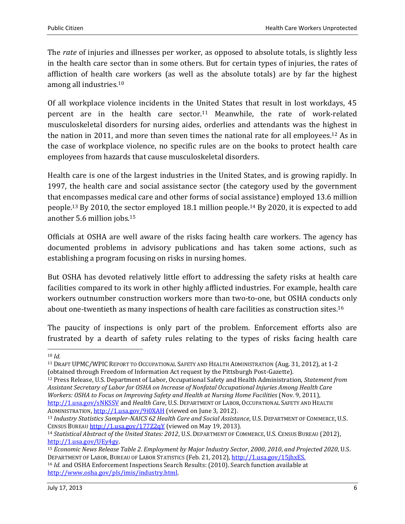The *rate* of injuries and illnesses per worker, as opposed to absolute totals, is slightly less in the health care sector than in some others. But for certain types of injuries, the rates of affliction of health care workers (as well as the absolute totals) are by far the highest among all industries. 10

Of all workplace violence incidents in the United States that result in lost workdays, 45 percent are in the health care sector.<sup>11</sup> Meanwhile, the rate of work-related musculoskeletal disorders for nursing aides, orderlies and attendants was the highest in the nation in 2011, and more than seven times the national rate for all employees.<sup>12</sup> As in the case of workplace violence, no specific rules are on the books to protect health care employees from hazards that cause musculoskeletal disorders.

Health care is one of the largest industries in the United States, and is growing rapidly. In 1997, the health care and social assistance sector (the category used by the government that encompasses medical care and other forms of social assistance) employed 13.6 million people. <sup>13</sup> By 2010, the sector employed 18.1 million people. <sup>14</sup> By 2020, it is expected to add another 5.6 million jobs. 15

Officials at OSHA are well aware of the risks facing health care workers. The agency has documented problems in advisory publications and has taken some actions, such as establishing a program focusing on risks in nursing homes.

But OSHA has devoted relatively little effort to addressing the safety risks at health care facilities compared to its work in other highly afflicted industries. For example, health care workers outnumber construction workers more than two-to-one, but OSHA conducts only about one-twentieth as many inspections of health care facilities as construction sites. 16

The paucity of inspections is only part of the problem. Enforcement efforts also are frustrated by a dearth of safety rules relating to the types of risks facing health care

 $\overline{\phantom{0}}$ 

<sup>10</sup> *Id.*

<sup>11</sup> DRAFT UPMC/WPIC REPORT TO OCCUPATIONAL SAFETY AND HEALTH ADMINISTRATION (Aug. 31, 2012), at 1-2 (obtained through Freedom of Information Act request by the Pittsburgh Post-Gazette).

<sup>12</sup> Press Release, U.S. Department of Labor, Occupational Safety and Health Administration, *Statement from Assistant Secretary of Labor for OSHA on Increase of Nonfatal Occupational Injuries Among Health Care Workers: OSHA to Focus on Improving Safety and Health at Nursing Home Facilities* (Nov. 9, 2011), <http://1.usa.gov/sNKSSV> and *Health Care*, U.S. DEPARTMENT OF LABOR, OCCUPATIONAL SAFETY AND HEALTH ADMINISTRATION, <http://1.usa.gov/9i0XAH> (viewed on June 3, 2012).

<sup>13</sup> *Industry Statistics Sampler-NAICS 62 Health Care and Social Assistance*, U.S. DEPARTMENT OF COMMERCE, U.S. CENSUS BUREAU <http://1.usa.gov/177Z2qY> (viewed on May 19, 2013).

<sup>14</sup> *Statistical Abstract of the United States: 2012*, U.S. DEPARTMENT OF COMMERCE, U.S. CENSUS BUREAU (2012), [http://1.usa.gov/UEy4gy.](http://1.usa.gov/UEy4gy) 

<sup>15</sup> *Economic News Release Table 2. Employment by Major Industry Sector*, *2000*, *2010*, *and Projected 2020*, U.S. DEPARTMENT OF LABOR, BUREAU OF LABOR STATISTICS (Feb. 21, 2012)[, http://1.usa.gov/15jhxES.](http://1.usa.gov/15jhxES) 

<sup>16</sup> *Id.* and OSHA Enforcement Inspections Search Results: (2010). Search function available at [http://www.osha.gov/pls/imis/industry.html.](http://www.osha.gov/pls/imis/industry.html)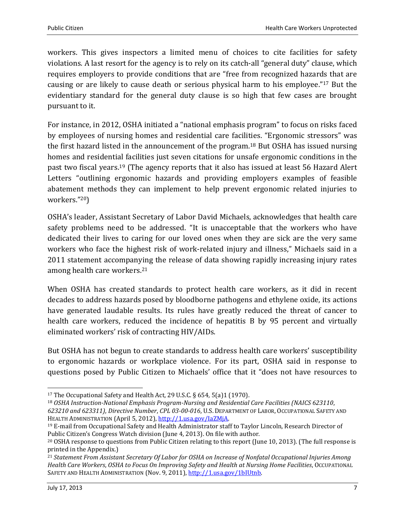workers. This gives inspectors a limited menu of choices to cite facilities for safety violations. A last resort for the agency is to rely on its catch-all "general duty" clause, which requires employers to provide conditions that are "free from recognized hazards that are causing or are likely to cause death or serious physical harm to his employee."<sup>17</sup> But the evidentiary standard for the general duty clause is so high that few cases are brought pursuant to it.

For instance, in 2012, OSHA initiated a "national emphasis program" to focus on risks faced by employees of nursing homes and residential care facilities. "Ergonomic stressors" was the first hazard listed in the announcement of the program. <sup>18</sup> But OSHA has issued nursing homes and residential facilities just seven citations for unsafe ergonomic conditions in the past two fiscal years.<sup>19</sup> (The agency reports that it also has issued at least 56 Hazard Alert Letters "outlining ergonomic hazards and providing employers examples of feasible abatement methods they can implement to help prevent ergonomic related injuries to workers."20)

OSHA's leader, Assistant Secretary of Labor David Michaels, acknowledges that health care safety problems need to be addressed. "It is unacceptable that the workers who have dedicated their lives to caring for our loved ones when they are sick are the very same workers who face the highest risk of work-related injury and illness," Michaels said in a 2011 statement accompanying the release of data showing rapidly increasing injury rates among health care workers.<sup>21</sup>

When OSHA has created standards to protect health care workers, as it did in recent decades to address hazards posed by bloodborne pathogens and ethylene oxide, its actions have generated laudable results. Its rules have greatly reduced the threat of cancer to health care workers, reduced the incidence of hepatitis B by 95 percent and virtually eliminated workers' risk of contracting HIV/AIDs.

But OSHA has not begun to create standards to address health care workers' susceptibility to ergonomic hazards or workplace violence. For its part, OSHA said in response to questions posed by Public Citizen to Michaels' office that it "does not have resources to

<sup>&</sup>lt;sup>17</sup> The Occupational Safety and Health Act, 29 U.S.C. § 654, 5(a)1 (1970).

<sup>18</sup> *OSHA Instruction-National Emphasis Program-Nursing and Residential Care Facilities (NAICS 623110*, *623210 and 623311)*, *Directive Number*, *CPL 03-00-016*, U.S. DEPARTMENT OF LABOR, OCCUPATIONAL SAFETY AND HEALTH ADMINISTRATION (April 5, 2012), [http://1.usa.gov/IaZMjA.](http://1.usa.gov/IaZMjA)

<sup>19</sup> E-mail from Occupational Safety and Health Administrator staff to Taylor Lincoln, Research Director of Public Citizen's Congress Watch division (June 4, 2013). On file with author.

<sup>20</sup> OSHA response to questions from Public Citizen relating to this report (June 10, 2013). (The full response is printed in the Appendix.)

<sup>21</sup> *Statement From Assistant Secretary Of Labor for OSHA on Increase of Nonfatal Occupational Injuries Among Health Care Workers*, *OSHA to Focus On Improving Safety and Health at Nursing Home Facilities*, OCCUPATIONAL SAFETY AND HEALTH ADMINISTRATION (Nov. 9, 2011), [http://1.usa.gov/1bIUtnb.](http://1.usa.gov/1bIUtnb)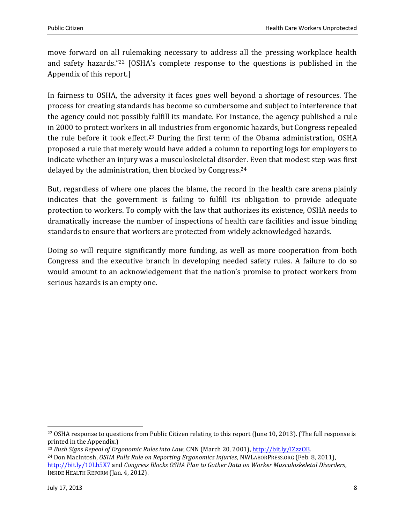move forward on all rulemaking necessary to address all the pressing workplace health and safety hazards."<sup>22</sup> [OSHA's complete response to the questions is published in the Appendix of this report.]

In fairness to OSHA, the adversity it faces goes well beyond a shortage of resources. The process for creating standards has become so cumbersome and subject to interference that the agency could not possibly fulfill its mandate. For instance, the agency published a rule in 2000 to protect workers in all industries from ergonomic hazards, but Congress repealed the rule before it took effect. <sup>23</sup> During the first term of the Obama administration, OSHA proposed a rule that merely would have added a column to reporting logs for employers to indicate whether an injury was a musculoskeletal disorder. Even that modest step was first delayed by the administration, then blocked by Congress. 24

But, regardless of where one places the blame, the record in the health care arena plainly indicates that the government is failing to fulfill its obligation to provide adequate protection to workers. To comply with the law that authorizes its existence, OSHA needs to dramatically increase the number of inspections of health care facilities and issue binding standards to ensure that workers are protected from widely acknowledged hazards.

Doing so will require significantly more funding, as well as more cooperation from both Congress and the executive branch in developing needed safety rules. A failure to do so would amount to an acknowledgement that the nation's promise to protect workers from serious hazards is an empty one.

 $\overline{a}$ 

<sup>&</sup>lt;sup>22</sup> OSHA response to questions from Public Citizen relating to this report (June 10, 2013). (The full response is printed in the Appendix.)

<sup>23</sup> *Bush Signs Repeal of Ergonomic Rules into Law*, CNN (March 20, 2001), [http://bit.ly/IZzzOB.](http://bit.ly/IZzzOB)

<sup>24</sup> Don MacIntosh, *OSHA Pulls Rule on Reporting Ergonomics Injuries*, NWLABORPRESS.ORG (Feb. 8, 2011), <http://bit.ly/10Lb5X7> and *Congress Blocks OSHA Plan to Gather Data on Worker Musculoskeletal Disorders*, INSIDE HEALTH REFORM (Jan. 4, 2012).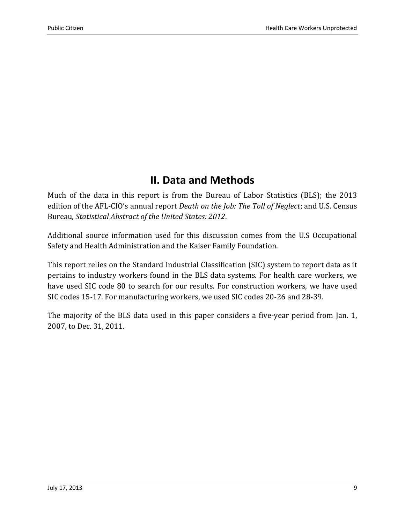### **II. Data and Methods**

<span id="page-8-0"></span>Much of the data in this report is from the Bureau of Labor Statistics (BLS); the 2013 edition of the AFL-CIO's annual report *Death on the Job: The Toll of Neglect*; and U.S. Census Bureau, *Statistical Abstract of the United States: 2012*.

Additional source information used for this discussion comes from the U.S Occupational Safety and Health Administration and the Kaiser Family Foundation.

This report relies on the Standard Industrial Classification (SIC) system to report data as it pertains to industry workers found in the BLS data systems. For health care workers, we have used SIC code 80 to search for our results. For construction workers, we have used SIC codes 15-17. For manufacturing workers, we used SIC codes 20-26 and 28-39.

The majority of the BLS data used in this paper considers a five-year period from Jan. 1, 2007, to Dec. 31, 2011.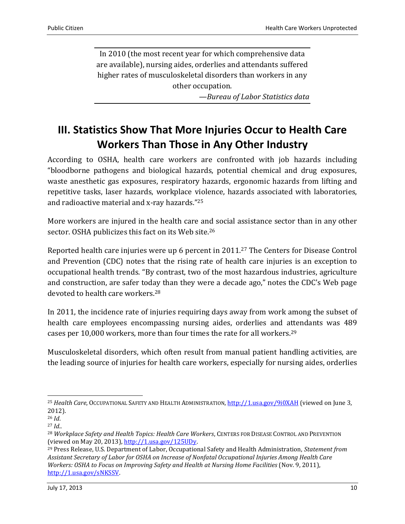In 2010 (the most recent year for which comprehensive data are available), nursing aides, orderlies and attendants suffered higher rates of musculoskeletal disorders than workers in any other occupation. *—Bureau of Labor Statistics data*

## <span id="page-9-0"></span>**III. Statistics Show That More Injuries Occur to Health Care Workers Than Those in Any Other Industry**

According to OSHA, health care workers are confronted with job hazards including "bloodborne pathogens and biological hazards, potential chemical and drug exposures, waste anesthetic gas exposures, respiratory hazards, ergonomic hazards from lifting and repetitive tasks, laser hazards, workplace violence, hazards associated with laboratories, and radioactive material and x-ray hazards."<sup>25</sup>

More workers are injured in the health care and social assistance sector than in any other sector. OSHA publicizes this fact on its Web site.<sup>26</sup>

Reported health care injuries were up 6 percent in 2011.<sup>27</sup> The Centers for Disease Control and Prevention (CDC) notes that the rising rate of health care injuries is an exception to occupational health trends. "By contrast, two of the most hazardous industries, agriculture and construction, are safer today than they were a decade ago," notes the CDC's Web page devoted to health care workers.<sup>28</sup>

In 2011, the incidence rate of injuries requiring days away from work among the subset of health care employees encompassing nursing aides, orderlies and attendants was 489 cases per 10,000 workers, more than four times the rate for all workers.<sup>29</sup>

Musculoskeletal disorders, which often result from manual patient handling activities, are the leading source of injuries for health care workers, especially for nursing aides, orderlies

 $\overline{\phantom{0}}$ <sup>25</sup> *Health Care*, OCCUPATIONAL SAFETY AND HEALTH ADMINISTRATION, <http://1.usa.gov/9i0XAH> (viewed on June 3, 2012).

<sup>26</sup> *Id*.

<sup>27</sup> *Id.*.

<sup>28</sup> *Workplace Safety and Health Topics: Health Care Workers*, CENTERS FOR DISEASE CONTROL AND PREVENTION (viewed on May 20, 2013), [http://1.usa.gov/125UDy.](http://1.usa.gov/125UDy)

<sup>29</sup> Press Release, U.S. Department of Labor, Occupational Safety and Health Administration, *Statement from Assistant Secretary of Labor for OSHA on Increase of Nonfatal Occupational Injuries Among Health Care Workers: OSHA to Focus on Improving Safety and Health at Nursing Home Facilities* (Nov. 9, 2011), [http://1.usa.gov/sNKSSV.](http://1.usa.gov/sNKSSV)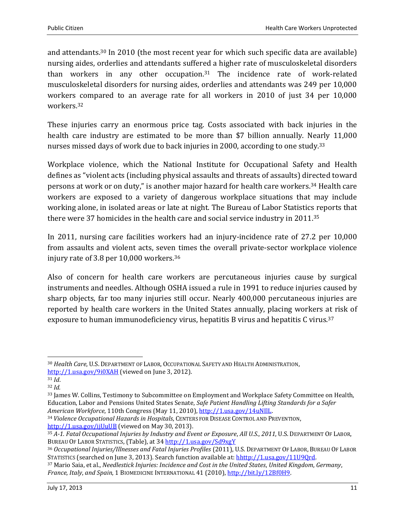and attendants.<sup>30</sup> In 2010 (the most recent year for which such specific data are available) nursing aides, orderlies and attendants suffered a higher rate of musculoskeletal disorders than workers in any other occupation. <sup>31</sup> The incidence rate of work-related musculoskeletal disorders for nursing aides, orderlies and attendants was 249 per 10,000 workers compared to an average rate for all workers in 2010 of just 34 per 10,000 workers.<sup>32</sup>

These injuries carry an enormous price tag. Costs associated with back injuries in the health care industry are estimated to be more than \$7 billion annually. Nearly 11,000 nurses missed days of work due to back injuries in 2000, according to one study.<sup>33</sup>

Workplace violence, which the National Institute for Occupational Safety and Health defines as "violent acts (including physical assaults and threats of assaults) directed toward persons at work or on duty," is another major hazard for health care workers. <sup>34</sup> Health care workers are exposed to a variety of dangerous workplace situations that may include working alone, in isolated areas or late at night. The Bureau of Labor Statistics reports that there were 37 homicides in the health care and social service industry in 2011. 35

In 2011, nursing care facilities workers had an injury-incidence rate of 27.2 per 10,000 from assaults and violent acts, seven times the overall private-sector workplace violence injury rate of 3.8 per 10,000 workers.<sup>36</sup>

Also of concern for health care workers are percutaneous injuries cause by surgical instruments and needles. Although OSHA issued a rule in 1991 to reduce injuries caused by sharp objects, far too many injuries still occur. Nearly 400,000 percutaneous injuries are reported by health care workers in the United States annually, placing workers at risk of exposure to human immunodeficiency virus, hepatitis B virus and hepatitis C virus.<sup>37</sup>

l

<sup>34</sup> *Violence Occupational Hazards in Hospitals*, CENTERS FOR DISEASE CONTROL AND PREVENTION, <http://1.usa.gov/ijUuUB> (viewed on May 30, 2013).

<sup>30</sup> *Health Care*, U.S. DEPARTMENT OF LABOR, OCCUPATIONAL SAFETY AND HEALTH ADMINISTRATION, <http://1.usa.gov/9i0XAH> (viewed on June 3, 2012).

<sup>31</sup> *Id*.

<sup>32</sup> *Id.*

<sup>33</sup> James W. Collins, Testimony to Subcommittee on Employment and Workplace Safety Committee on Health, Education, Labor and Pensions United States Senate, *Safe Patient Handling Lifting Standards for a Safer American Workforce*, 110th Congress (May 11, 2010), [http://1.usa.gov/14uNIlL.](http://1.usa.gov/14uNIlL) 

<sup>35</sup> *A-1. Fatal Occupational Injuries by Industry and Event or Exposure*, *All U.S.*, *2011*, U.S. DEPARTMENT OF LABOR, BUREAU OF LABOR STATISTICS, (Table), at 34 <http://1.usa.gov/Sd9xgY>

<sup>36</sup> *Occupational Injuries/Illnesses and Fatal Injuries Profiles* (2011), U.S. DEPARTMENT OF LABOR, BUREAU OF LABOR STATISTICS (searched on June 3, 2013). Search function available at[: hhttp://1.usa.gov/11U9Qrd.](http://data.bls.gov/gqt/RequestData) 

<sup>37</sup> Mario Saia, et al., *Needlestick Injuries: Incidence and Cost in the United States*, *United Kingdom*, *Germany*, *France*, *Italy*, *and Spain*, 1 BIOMEDICINE INTERNATIONAL 41 (2010), [http://bit.ly/12Bf0H9.](http://bit.ly/12Bf0H9)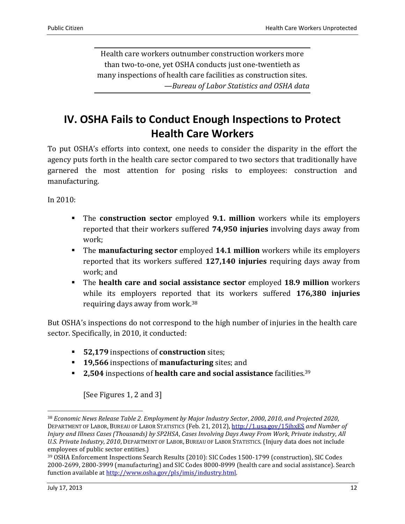Health care workers outnumber construction workers more than two-to-one, yet OSHA conducts just one-twentieth as many inspections of health care facilities as construction sites. *—Bureau of Labor Statistics and OSHA data*

# <span id="page-11-0"></span>**IV. OSHA Fails to Conduct Enough Inspections to Protect Health Care Workers**

To put OSHA's efforts into context, one needs to consider the disparity in the effort the agency puts forth in the health care sector compared to two sectors that traditionally have garnered the most attention for posing risks to employees: construction and manufacturing.

In 2010:

- The **construction sector** employed **9.1. million** workers while its employers reported that their workers suffered **74,950 injuries** involving days away from work;
- The **manufacturing sector** employed **14.1 million** workers while its employers reported that its workers suffered **127,140 injuries** requiring days away from work; and
- The **health care and social assistance sector** employed **18.9 million** workers while its employers reported that its workers suffered **176,380 injuries** requiring days away from work.<sup>38</sup>

But OSHA's inspections do not correspond to the high number of injuries in the health care sector. Specifically, in 2010, it conducted:

- **52,179** inspections of **construction** sites;
- **19,566** inspections of **manufacturing** sites; and
- **2,504** inspections of **health care and social assistance** facilities.<sup>39</sup>

[See Figures 1, 2 and 3]

<sup>38</sup> *Economic News Release Table 2. Employment by Major Industry Sector*, *2000*, *2010*, *and Projected 2020*, DEPARTMENT OF LABOR, BUREAU OF LABOR STATISTICS (Feb. 21, 2012)[, http://1.usa.gov/15jhxES](http://1.usa.gov/15jhxES) *and Number of Injury and Illness Cases (Thousands) by SP2HSA*, *Cases Involving Days Away From Work*, *Private industry*, *All U.S. Private Industry*, *2010*, DEPARTMENT OF LABOR, BUREAU OF LABOR STATISTICS. (Injury data does not include employees of public sector entities.)

<sup>39</sup> OSHA Enforcement Inspections Search Results (2010): SIC Codes 1500-1799 (construction), SIC Codes 2000-2699, 2800-3999 (manufacturing) and SIC Codes 8000-8999 (health care and social assistance). Search function available a[t http://www.osha.gov/pls/imis/industry.html.](http://www.osha.gov/pls/imis/industry.html)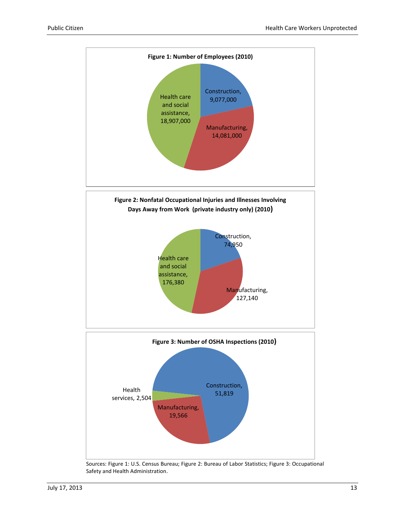

Sources: Figure 1: U.S. Census Bureau; Figure 2: Bureau of Labor Statistics; Figure 3: Occupational Safety and Health Administration.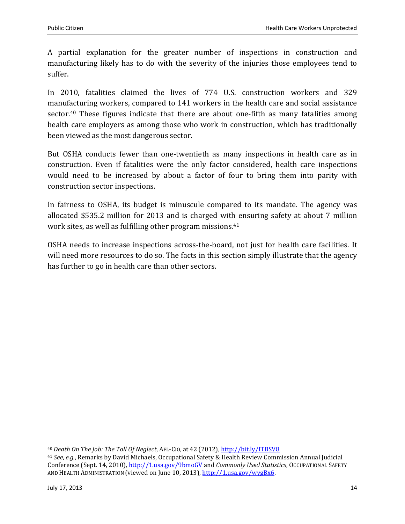A partial explanation for the greater number of inspections in construction and manufacturing likely has to do with the severity of the injuries those employees tend to suffer.

In 2010, fatalities claimed the lives of 774 U.S. construction workers and 329 manufacturing workers, compared to 141 workers in the health care and social assistance sector.<sup>40</sup> These figures indicate that there are about one-fifth as many fatalities among health care employers as among those who work in construction, which has traditionally been viewed as the most dangerous sector.

But OSHA conducts fewer than one-twentieth as many inspections in health care as in construction. Even if fatalities were the only factor considered, health care inspections would need to be increased by about a factor of four to bring them into parity with construction sector inspections.

In fairness to OSHA, its budget is minuscule compared to its mandate. The agency was allocated \$535.2 million for 2013 and is charged with ensuring safety at about 7 million work sites, as well as fulfilling other program missions.<sup>41</sup>

OSHA needs to increase inspections across-the-board, not just for health care facilities. It will need more resources to do so. The facts in this section simply illustrate that the agency has further to go in health care than other sectors.

<sup>40</sup> *Death On The Job: The Toll Of Neglect*, AFL-CIO, at 42 (2012)[, http://bit.ly/ITBSV8](http://bit.ly/ITBSV8)

<sup>41</sup> *See*, *e.g.*, Remarks by David Michaels, Occupational Safety & Health Review Commission Annual Judicial Conference (Sept. 14, 2010),<http://1.usa.gov/9bmoGV> and *Commonly Used Statistics*, OCCUPATIONAL SAFETY AND HEALTH ADMINISTRATION (viewed on June 10, 2013), [http://1.usa.gov/wygBx6.](http://1.usa.gov/wygBx6)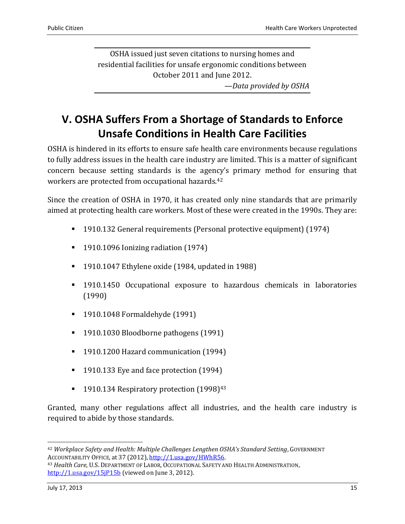OSHA issued just seven citations to nursing homes and residential facilities for unsafe ergonomic conditions between October 2011 and June 2012.

*—Data provided by OSHA*

# <span id="page-14-0"></span>**V. OSHA Suffers From a Shortage of Standards to Enforce Unsafe Conditions in Health Care Facilities**

OSHA is hindered in its efforts to ensure safe health care environments because regulations to fully address issues in the health care industry are limited. This is a matter of significant concern because setting standards is the agency's primary method for ensuring that workers are protected from occupational hazards.<sup>42</sup>

Since the creation of OSHA in 1970, it has created only nine standards that are primarily aimed at protecting health care workers. Most of these were created in the 1990s. They are:

- 1910.132 General requirements (Personal protective equipment) (1974)
- 1910.1096 Ionizing radiation (1974)
- $\blacksquare$  1910.1047 Ethylene oxide (1984, updated in 1988)
- 1910.1450 Occupational exposure to hazardous chemicals in laboratories (1990)
- 1910.1048 Formaldehyde (1991)
- 1910.1030 Bloodborne pathogens (1991)
- <sup>1</sup> 1910.1200 Hazard communication (1994)
- 1910.133 Eye and face protection (1994)
- **1910.134 Respiratory protection (1998)**<sup>43</sup>

Granted, many other regulations affect all industries, and the health care industry is required to abide by those standards.

<sup>42</sup> *Workplace Safety and Health: Multiple Challenges Lengthen OSHA's Standard Setting*, GOVERNMENT ACCOUNTABILITY OFFICE, at 37 (2012), [http://1.usa.gov/HWhR56.](http://1.usa.gov/HWhR56)

<sup>43</sup> *Health Care*, U.S. DEPARTMENT OF LABOR, OCCUPATIONAL SAFETY AND HEALTH ADMINISTRATION, <http://1.usa.gov/15jP15b> (viewed on June 3, 2012).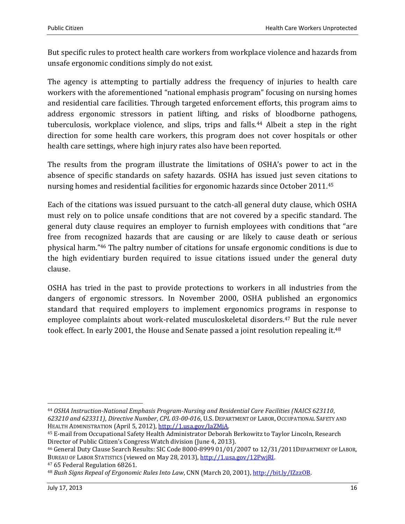But specific rules to protect health care workers from workplace violence and hazards from unsafe ergonomic conditions simply do not exist.

The agency is attempting to partially address the frequency of injuries to health care workers with the aforementioned "national emphasis program" focusing on nursing homes and residential care facilities. Through targeted enforcement efforts, this program aims to address ergonomic stressors in patient lifting, and risks of bloodborne pathogens, tuberculosis, workplace violence, and slips, trips and falls.<sup>44</sup> Albeit a step in the right direction for some health care workers, this program does not cover hospitals or other health care settings, where high injury rates also have been reported.

The results from the program illustrate the limitations of OSHA's power to act in the absence of specific standards on safety hazards. OSHA has issued just seven citations to nursing homes and residential facilities for ergonomic hazards since October 2011. 45

Each of the citations was issued pursuant to the catch-all general duty clause, which OSHA must rely on to police unsafe conditions that are not covered by a specific standard. The general duty clause requires an employer to furnish employees with conditions that "are free from recognized hazards that are causing or are likely to cause death or serious physical harm."<sup>46</sup> The paltry number of citations for unsafe ergonomic conditions is due to the high evidentiary burden required to issue citations issued under the general duty clause.

OSHA has tried in the past to provide protections to workers in all industries from the dangers of ergonomic stressors. In November 2000, OSHA published an ergonomics standard that required employers to implement ergonomics programs in response to employee complaints about work-related musculoskeletal disorders.<sup>47</sup> But the rule never took effect. In early 2001, the House and Senate passed a joint resolution repealing it.<sup>48</sup>

<sup>47</sup> 65 Federal Regulation 68261.

 $\overline{\phantom{0}}$ 

<sup>44</sup> *OSHA Instruction-National Emphasis Program-Nursing and Residential Care Facilities (NAICS 623110*, *623210 and 623311)*, *Directive Number*, *CPL 03-00-016*, U.S. DEPARTMENT OF LABOR, OCCUPATIONAL SAFETY AND HEALTH ADMINISTRATION (April 5, 2012), http://1.usa.gov/IaZMiA.

<sup>45</sup> E-mail from Occupational Safety Health Administrator Deborah Berkowitz to Taylor Lincoln, Research Director of Public Citizen's Congress Watch division (June 4, 2013).

<sup>46</sup> General Duty Clause Search Results: SIC Code 8000-8999 01/01/2007 to 12/31/2011DEPARTMENT OF LABOR, BUREAU OF LABOR STATISTICS (viewed on May 28, 2013), [http://1.usa.gov/12PwjRI.](http://1.usa.gov/12PwjRI)

<sup>48</sup> *Bush Signs Repeal of Ergonomic Rules Into Law*, CNN (March 20, 2001)[, http://bit.ly/IZzzOB.](http://bit.ly/IZzzOB)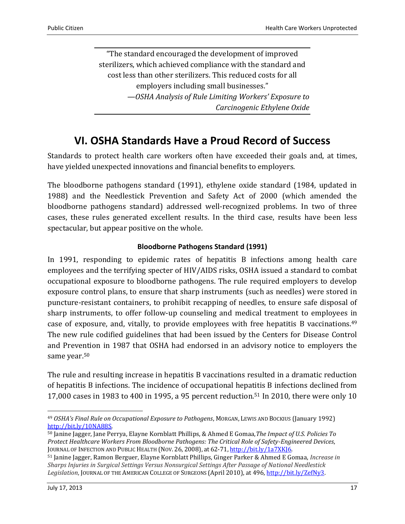"The standard encouraged the development of improved sterilizers, which achieved compliance with the standard and cost less than other sterilizers. This reduced costs for all employers including small businesses." *—OSHA Analysis of Rule Limiting Workers' Exposure to Carcinogenic Ethylene Oxide*

### **VI. OSHA Standards Have a Proud Record of Success**

<span id="page-16-0"></span>Standards to protect health care workers often have exceeded their goals and, at times, have yielded unexpected innovations and financial benefits to employers.

The bloodborne pathogens standard (1991), ethylene oxide standard (1984, updated in 1988) and the Needlestick Prevention and Safety Act of 2000 (which amended the bloodborne pathogens standard) addressed well-recognized problems. In two of three cases, these rules generated excellent results. In the third case, results have been less spectacular, but appear positive on the whole.

#### **Bloodborne Pathogens Standard (1991)**

<span id="page-16-1"></span>In 1991, responding to epidemic rates of hepatitis B infections among health care employees and the terrifying specter of HIV/AIDS risks, OSHA issued a standard to combat occupational exposure to bloodborne pathogens. The rule required employers to develop exposure control plans, to ensure that sharp instruments (such as needles) were stored in puncture-resistant containers, to prohibit recapping of needles, to ensure safe disposal of sharp instruments, to offer follow-up counseling and medical treatment to employees in case of exposure, and, vitally, to provide employees with free hepatitis B vaccinations.<sup>49</sup> The new rule codified guidelines that had been issued by the Centers for Disease Control and Prevention in 1987 that OSHA had endorsed in an advisory notice to employers the same year.<sup>50</sup>

The rule and resulting increase in hepatitis B vaccinations resulted in a dramatic reduction of hepatitis B infections. The incidence of occupational hepatitis B infections declined from 17,000 cases in 1983 to 400 in 1995, a 95 percent reduction.<sup>51</sup> In 2010, there were only 10

<sup>49</sup> *OSHA's Final Rule on Occupational Exposure to Pathogens*, MORGAN, LEWIS AND BOCKIUS (January 1992) [http://bit.ly/10NA88S.](http://bit.ly/10NA88S) 

<sup>50</sup> Janine Jagger, Jane Perrya, Elayne Kornblatt Phillips, & Ahmed E Gomaa,*The Impact of U.S. Policies To Protect Healthcare Workers From Bloodborne Pathogens: The Critical Role of Safety-Engineered Devices*, JOURNAL OF INFECTION AND PUBLIC HEALTH (NOV. 26, 2008), at 62-71, [http://bit.ly/1a7XKJ6.](http://bit.ly/1a7XKJ6)

<sup>51</sup> Janine Jagger, Ramon Berguer, Elayne Kornblatt Phillips, Ginger Parker & Ahmed E Gomaa, *Increase in Sharps Injuries in Surgical Settings Versus Nonsurgical Settings After Passage of National Needlestick Legislation*, JOURNAL OF THE AMERICAN COLLEGE OF SURGEONS (April 2010), at 496[, http://bit.ly/ZefNy3.](http://bit.ly/ZefNy3)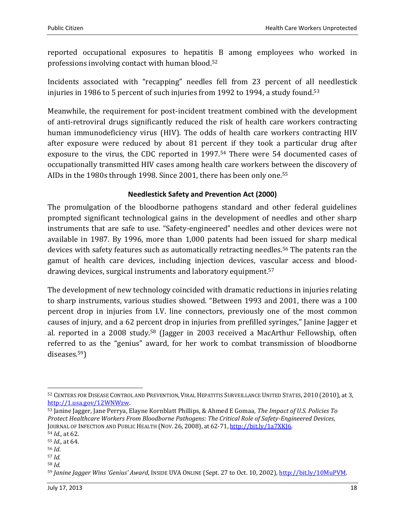reported occupational exposures to hepatitis B among employees who worked in professions involving contact with human blood.<sup>52</sup>

Incidents associated with "recapping" needles fell from 23 percent of all needlestick injuries in 1986 to 5 percent of such injuries from 1992 to 1994, a study found.<sup>53</sup>

Meanwhile, the requirement for post-incident treatment combined with the development of anti-retroviral drugs significantly reduced the risk of health care workers contracting human immunodeficiency virus (HIV). The odds of health care workers contracting HIV after exposure were reduced by about 81 percent if they took a particular drug after exposure to the virus, the CDC reported in 1997.<sup>54</sup> There were 54 documented cases of occupationally transmitted HIV cases among health care workers between the discovery of AIDs in the 1980s through 1998. Since 2001, there has been only one.<sup>55</sup>

#### **Needlestick Safety and Prevention Act (2000)**

<span id="page-17-0"></span>The promulgation of the bloodborne pathogens standard and other federal guidelines prompted significant technological gains in the development of needles and other sharp instruments that are safe to use. "Safety-engineered" needles and other devices were not available in 1987. By 1996, more than 1,000 patents had been issued for sharp medical devices with safety features such as automatically retracting needles. <sup>56</sup> The patents ran the gamut of health care devices, including injection devices, vascular access and blooddrawing devices, surgical instruments and laboratory equipment.<sup>57</sup>

The development of new technology coincided with dramatic reductions in injuries relating to sharp instruments, various studies showed. "Between 1993 and 2001, there was a 100 percent drop in injuries from I.V. line connectors, previously one of the most common causes of injury, and a 62 percent drop in injuries from prefilled syringes," Janine Jagger et al. reported in a 2008 study. <sup>58</sup> (Jagger in 2003 received a MacArthur Fellowship, often referred to as the "genius" award, for her work to combat transmission of bloodborne diseases.59)

l

<sup>58</sup> *Id.*

<sup>52</sup> CENTERS FOR DISEASE CONTROL AND PREVENTION, VIRAL HEPATITIS SURVEILLANCE UNITED STATES, 2010 (2010), at 3, [http://1.usa.gov/12WNWzw.](http://1.usa.gov/12WNWzw) 

<sup>53</sup> Janine Jagger, Jane Perrya, Elayne Kornblatt Phillips, & Ahmed E Gomaa, *The Impact of U.S. Policies To Protect Healthcare Workers From Bloodborne Pathogens: The Critical Role of Safety-Engineered Devices*, JOURNAL OF INFECTION AND PUBLIC HEALTH (NOV. 26, 2008), at 62-71, http://bit.ly/1a7XKI6. <sup>54</sup> *Id.*, at 62.

<sup>55</sup> *Id.*, at 64.

<sup>56</sup> *Id*.

<sup>57</sup> *Id.*

<sup>59</sup> *Janine Jagger Wins 'Genius' Award*, INSIDE UVA ONLINE (Sept. 27 to Oct. 10, 2002), [http://bit.ly/10MuPVM.](http://bit.ly/10MuPVM)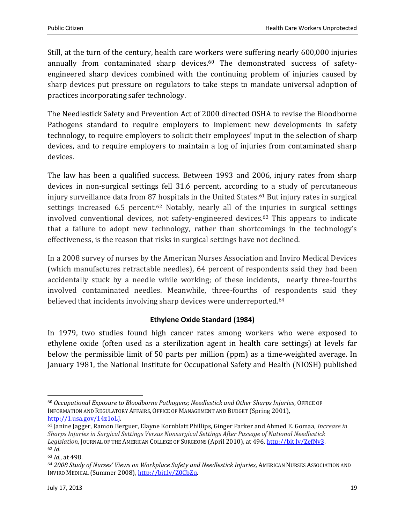Still, at the turn of the century, health care workers were suffering nearly 600,000 injuries annually from contaminated sharp devices. <sup>60</sup> The demonstrated success of safetyengineered sharp devices combined with the continuing problem of injuries caused by sharp devices put pressure on regulators to take steps to mandate universal adoption of practices incorporating safer technology.

The Needlestick Safety and Prevention Act of 2000 directed OSHA to revise the Bloodborne Pathogens standard to require employers to implement new developments in safety technology, to require employers to solicit their employees' input in the selection of sharp devices, and to require employers to maintain a log of injuries from contaminated sharp devices.

The law has been a qualified success. Between 1993 and 2006, injury rates from sharp devices in non-surgical settings fell 31.6 percent, according to a study of percutaneous injury surveillance data from 87 hospitals in the United States.<sup>61</sup> But injury rates in surgical settings increased 6.5 percent.<sup>62</sup> Notably, nearly all of the injuries in surgical settings involved conventional devices, not safety-engineered devices.<sup>63</sup> This appears to indicate that a failure to adopt new technology, rather than shortcomings in the technology's effectiveness, is the reason that risks in surgical settings have not declined.

In a 2008 survey of nurses by the American Nurses Association and Inviro Medical Devices (which manufactures retractable needles), 64 percent of respondents said they had been accidentally stuck by a needle while working; of these incidents, nearly three-fourths involved contaminated needles. Meanwhile, three-fourths of respondents said they believed that incidents involving sharp devices were underreported.<sup>64</sup>

#### **Ethylene Oxide Standard (1984)**

<span id="page-18-0"></span>In 1979, two studies found high cancer rates among workers who were exposed to ethylene oxide (often used as a sterilization agent in health care settings) at levels far below the permissible limit of 50 parts per million (ppm) as a time-weighted average. In January 1981, the National Institute for Occupational Safety and Health (NIOSH) published

 $\overline{\phantom{0}}$ 

<sup>60</sup> *Occupational Exposure to Bloodborne Pathogens; Needlestick and Other Sharps Injuries*, OFFICE OF INFORMATION AND REGULATORY AFFAIRS, OFFICE OF MANAGEMENT AND BUDGET (Spring 2001), [http://1.usa.gov/14z1oLJ.](http://1.usa.gov/14z1oLJ) 

<sup>61</sup> Janine Jagger, Ramon Berguer, Elayne Kornblatt Phillips, Ginger Parker and Ahmed E. Gomaa, *Increase in Sharps Injuries in Surgical Settings Versus Nonsurgical Settings After Passage of National Needlestick Legislation*, JOURNAL OF THE AMERICAN COLLEGE OF SURGEONS (April 2010), at 496[, http://bit.ly/ZefNy3.](http://bit.ly/ZefNy3) <sup>62</sup> *Id.*

<sup>63</sup> *Id.*, at 498.

<sup>64</sup> *2008 Study of Nurses' Views on Workplace Safety and Needlestick Injuries*, AMERICAN NURSES ASSOCIATION AND INVIRO MEDICAL (Summer 2008)[, http://bit.ly/Z0CbZq.](http://bit.ly/Z0CbZq)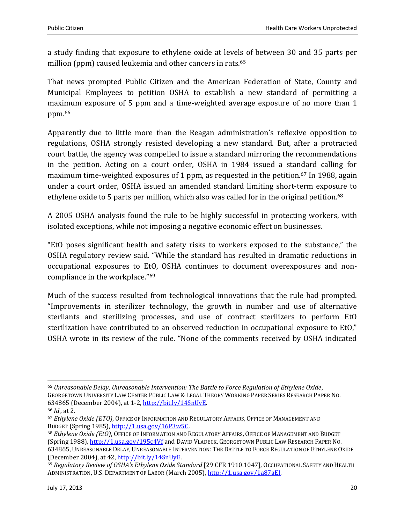a study finding that exposure to ethylene oxide at levels of between 30 and 35 parts per million (ppm) caused leukemia and other cancers in rats.<sup>65</sup>

That news prompted Public Citizen and the American Federation of State, County and Municipal Employees to petition OSHA to establish a new standard of permitting a maximum exposure of 5 ppm and a time-weighted average exposure of no more than 1 ppm.<sup>66</sup>

Apparently due to little more than the Reagan administration's reflexive opposition to regulations, OSHA strongly resisted developing a new standard. But, after a protracted court battle, the agency was compelled to issue a standard mirroring the recommendations in the petition. Acting on a court order, OSHA in 1984 issued a standard calling for maximum time-weighted exposures of 1 ppm, as requested in the petition.<sup>67</sup> In 1988, again under a court order, OSHA issued an amended standard limiting short-term exposure to ethylene oxide to 5 parts per million, which also was called for in the original petition.<sup>68</sup>

A 2005 OSHA analysis found the rule to be highly successful in protecting workers, with isolated exceptions, while not imposing a negative economic effect on businesses.

"EtO poses significant health and safety risks to workers exposed to the substance," the OSHA regulatory review said. "While the standard has resulted in dramatic reductions in occupational exposures to EtO, OSHA continues to document overexposures and noncompliance in the workplace." 69

Much of the success resulted from technological innovations that the rule had prompted. "Improvements in sterilizer technology, the growth in number and use of alternative sterilants and sterilizing processes, and use of contract sterilizers to perform EtO sterilization have contributed to an observed reduction in occupational exposure to EtO," OSHA wrote in its review of the rule. "None of the comments received by OSHA indicated

l <sup>65</sup> *Unreasonable Delay*, *Unreasonable Intervention: The Battle to Force Regulation of Ethylene Oxide*, GEORGETOWN UNIVERSITY LAW CENTER PUBLIC LAW & LEGAL THEORY WORKING PAPER SERIES RESEARCH PAPER NO. 634865 (December 2004), at 1-2[, http://bit.ly/14SnUyE.](http://bit.ly/14SnUyE)

<sup>66</sup> *Id*., at 2.

<sup>67</sup> *Ethylene Oxide (ETO)*, OFFICE OF INFORMATION AND REGULATORY AFFAIRS, OFFICE OF MANAGEMENT AND BUDGET (Spring 1985), [http://1.usa.gov/16P3w5C.](http://1.usa.gov/16P3w5C)

<sup>68</sup> *Ethylene Oxide (EtO)*, OFFICE OF INFORMATION AND REGULATORY AFFAIRS, OFFICE OF MANAGEMENT AND BUDGET (Spring 1988),<http://1.usa.gov/195c4Vf> and DAVID VLADECK, GEORGETOWN PUBLIC LAW RESEARCH PAPER NO. 634865, UNREASONABLE DELAY, UNREASONABLE INTERVENTION: THE BATTLE TO FORCE REGULATION OF ETHYLENE OXIDE (December 2004), at 42[, http://bit.ly/14SnUyE.](http://bit.ly/14SnUyE)

<sup>69</sup> *Regulatory Review of OSHA's Ethylene Oxide Standard* [29 CFR 1910.1047], OCCUPATIONAL SAFETY AND HEALTH ADMINISTRATION, U.S. DEPARTMENT OF LABOR (March 2005)[, http://1.usa.gov/1a87aEI.](http://1.usa.gov/1a87aEI)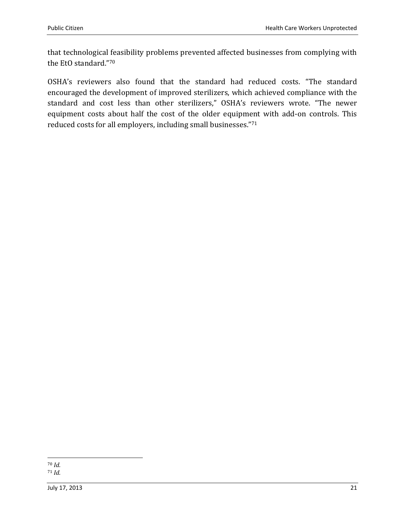that technological feasibility problems prevented affected businesses from complying with the EtO standard."<sup>70</sup>

OSHA's reviewers also found that the standard had reduced costs. "The standard encouraged the development of improved sterilizers, which achieved compliance with the standard and cost less than other sterilizers," OSHA's reviewers wrote. "The newer equipment costs about half the cost of the older equipment with add-on controls. This reduced costs for all employers, including small businesses." 71

 $\overline{\phantom{0}}$ <sup>70</sup> *Id.* <sup>71</sup> *Id.*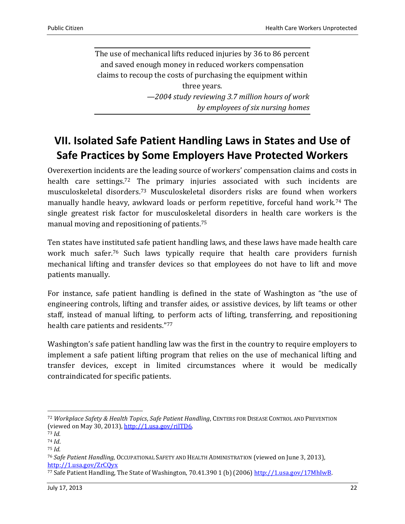The use of mechanical lifts reduced injuries by 36 to 86 percent and saved enough money in reduced workers compensation claims to recoup the costs of purchasing the equipment within three years. *—2004 study reviewing 3.7 million hours of work by employees of six nursing homes*

# <span id="page-21-0"></span>**VII. Isolated Safe Patient Handling Laws in States and Use of Safe Practices by Some Employers Have Protected Workers**

Overexertion incidents are the leading source of workers' compensation claims and costs in health care settings.<sup>72</sup> The primary injuries associated with such incidents are musculoskeletal disorders. <sup>73</sup> Musculoskeletal disorders risks are found when workers manually handle heavy, awkward loads or perform repetitive, forceful hand work.<sup>74</sup> The single greatest risk factor for musculoskeletal disorders in health care workers is the manual moving and repositioning of patients. 75

Ten states have instituted safe patient handling laws, and these laws have made health care work much safer. <sup>76</sup> Such laws typically require that health care providers furnish mechanical lifting and transfer devices so that employees do not have to lift and move patients manually.

For instance, safe patient handling is defined in the state of Washington as "the use of engineering controls, lifting and transfer aides, or assistive devices, by lift teams or other staff, instead of manual lifting, to perform acts of lifting, transferring, and repositioning health care patients and residents."77

Washington's safe patient handling law was the first in the country to require employers to implement a safe patient lifting program that relies on the use of mechanical lifting and transfer devices, except in limited circumstances where it would be medically contraindicated for specific patients.

<sup>72</sup> *Workplace Safety & Health Topics*, *Safe Patient Handling*, CENTERS FOR DISEASE CONTROL AND PREVENTION (viewed on May 30, 2013), [http://1.usa.gov/rilTD6.](http://1.usa.gov/rilTD6) 

<sup>73</sup> *Id.*

<sup>74</sup> *Id*.

<sup>75</sup> *Id.*

<sup>76</sup> *Safe Patient Handling*, OCCUPATIONAL SAFETY AND HEALTH ADMINISTRATION (viewed on June 3, 2013), <http://1.usa.gov/ZrCQyx>

<sup>&</sup>lt;sup>77</sup> Safe Patient Handling, The State of Washington, 70.41.390 1 (b) (2006[\) http://1.usa.gov/17MhIwB.](http://1.usa.gov/17MhIwB)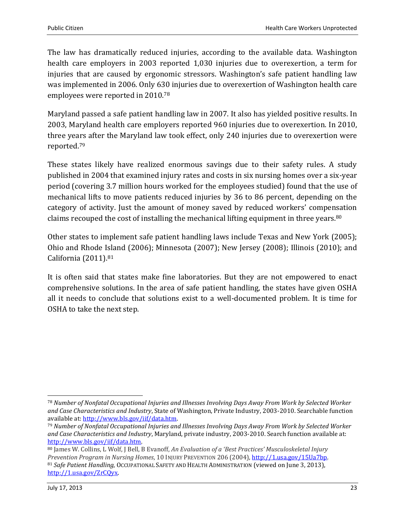The law has dramatically reduced injuries, according to the available data. Washington health care employers in 2003 reported 1,030 injuries due to overexertion, a term for injuries that are caused by ergonomic stressors. Washington's safe patient handling law was implemented in 2006. Only 630 injuries due to overexertion of Washington health care employees were reported in 2010.<sup>78</sup>

Maryland passed a safe patient handling law in 2007. It also has yielded positive results. In 2003, Maryland health care employers reported 960 injuries due to overexertion. In 2010, three years after the Maryland law took effect, only 240 injuries due to overexertion were reported. 79

These states likely have realized enormous savings due to their safety rules. A study published in 2004 that examined injury rates and costs in six nursing homes over a six-year period (covering 3.7 million hours worked for the employees studied) found that the use of mechanical lifts to move patients reduced injuries by 36 to 86 percent, depending on the category of activity. Just the amount of money saved by reduced workers' compensation claims recouped the cost of installing the mechanical lifting equipment in three years.<sup>80</sup>

Other states to implement safe patient handling laws include Texas and New York (2005); Ohio and Rhode Island (2006); Minnesota (2007); New Jersey (2008); Illinois (2010); and California (2011). 81

It is often said that states make fine laboratories. But they are not empowered to enact comprehensive solutions. In the area of safe patient handling, the states have given OSHA all it needs to conclude that solutions exist to a well-documented problem. It is time for OSHA to take the next step.

 $\overline{\phantom{0}}$ 

<sup>78</sup> *Number of Nonfatal Occupational Injuries and Illnesses Involving Days Away From Work by Selected Worker and Case Characteristics and Industry*, State of Washington, Private Industry, 2003-2010. Searchable function available at[: http://www.bls.gov/iif/data.htm.](http://www.bls.gov/iif/data.htm)

<sup>79</sup> *Number of Nonfatal Occupational Injuries and Illnesses Involving Days Away From Work by Selected Worker and Case Characteristics and Industry*, Maryland, private industry, 2003-2010. Search function available at: [http://www.bls.gov/iif/data.htm.](http://www.bls.gov/iif/data.htm) 

<sup>80</sup> James W. Collins, L Wolf, J Bell, B Evanoff, *An Evaluation of a 'Best Practices' Musculoskeletal Injury Prevention Program in Nursing Homes*, 10 INJURY PREVENTION 206 (2004), [http://1.usa.gov/15Ua7bp.](http://1.usa.gov/15Ua7bp) <sup>81</sup> *Safe Patient Handling*, OCCUPATIONAL SAFETY AND HEALTH ADMINISTRATION (viewed on June 3, 2013), [http://1.usa.gov/ZrCQyx.](http://1.usa.gov/ZrCQyx)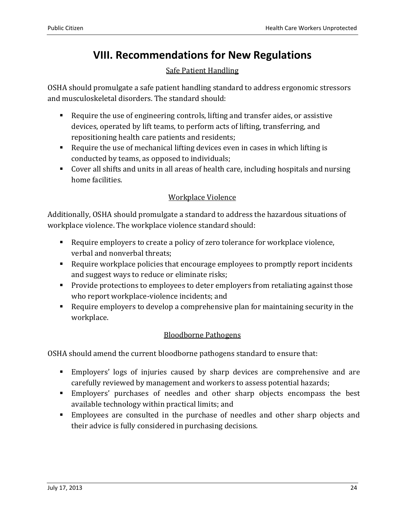## **VIII. Recommendations for New Regulations**

### Safe Patient Handling

<span id="page-23-0"></span>OSHA should promulgate a safe patient handling standard to address ergonomic stressors and musculoskeletal disorders. The standard should:

- Require the use of engineering controls, lifting and transfer aides, or assistive devices, operated by lift teams, to perform acts of lifting, transferring, and repositioning health care patients and residents;
- Require the use of mechanical lifting devices even in cases in which lifting is conducted by teams, as opposed to individuals;
- Cover all shifts and units in all areas of health care, including hospitals and nursing home facilities.

### Workplace Violence

Additionally, OSHA should promulgate a standard to address the hazardous situations of workplace violence. The workplace violence standard should:

- Require employers to create a policy of zero tolerance for workplace violence, verbal and nonverbal threats;
- Require workplace policies that encourage employees to promptly report incidents and suggest ways to reduce or eliminate risks;
- **Provide protections to employees to deter employers from retaliating against those** who report workplace-violence incidents; and
- Require employers to develop a comprehensive plan for maintaining security in the workplace.

### Bloodborne Pathogens

OSHA should amend the current bloodborne pathogens standard to ensure that:

- Employers' logs of injuries caused by sharp devices are comprehensive and are carefully reviewed by management and workers to assess potential hazards;
- Employers' purchases of needles and other sharp objects encompass the best available technology within practical limits; and
- Employees are consulted in the purchase of needles and other sharp objects and their advice is fully considered in purchasing decisions.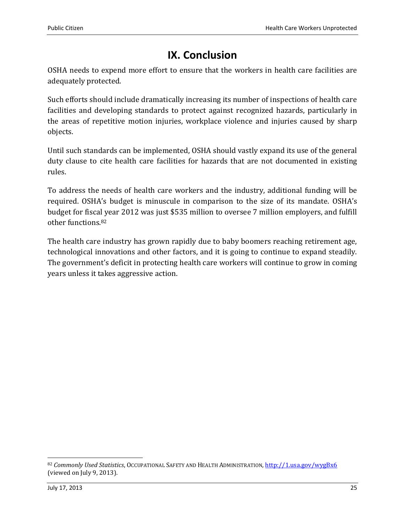# **IX. Conclusion**

<span id="page-24-0"></span>OSHA needs to expend more effort to ensure that the workers in health care facilities are adequately protected.

Such efforts should include dramatically increasing its number of inspections of health care facilities and developing standards to protect against recognized hazards, particularly in the areas of repetitive motion injuries, workplace violence and injuries caused by sharp objects.

Until such standards can be implemented, OSHA should vastly expand its use of the general duty clause to cite health care facilities for hazards that are not documented in existing rules.

To address the needs of health care workers and the industry, additional funding will be required. OSHA's budget is minuscule in comparison to the size of its mandate. OSHA's budget for fiscal year 2012 was just \$535 million to oversee 7 million employers, and fulfill other functions.<sup>82</sup>

The health care industry has grown rapidly due to baby boomers reaching retirement age, technological innovations and other factors, and it is going to continue to expand steadily. The government's deficit in protecting health care workers will continue to grow in coming years unless it takes aggressive action.

 $\overline{\phantom{0}}$ 

<sup>82</sup> *Commonly Used Statistics*, OCCUPATIONAL SAFETY AND HEALTH ADMINISTRATION[, http://1.usa.gov/wygBx6](http://1.usa.gov/wygBx6) (viewed on July 9, 2013).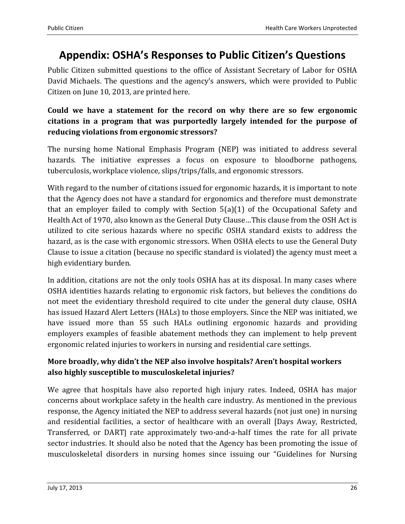### <span id="page-25-0"></span>**Appendix: OSHA's Responses to Public Citizen's Questions**

Public Citizen submitted questions to the office of Assistant Secretary of Labor for OSHA David Michaels. The questions and the agency's answers, which were provided to Public Citizen on June 10, 2013, are printed here.

### **Could we have a statement for the record on why there are so few ergonomic citations in a program that was purportedly largely intended for the purpose of reducing violations from ergonomic stressors?**

The nursing home National Emphasis Program (NEP) was initiated to address several hazards. The initiative expresses a focus on exposure to bloodborne pathogens, tuberculosis, workplace violence, slips/trips/falls, and ergonomic stressors.

With regard to the number of citations issued for ergonomic hazards, it is important to note that the Agency does not have a standard for ergonomics and therefore must demonstrate that an employer failed to comply with Section 5(a)(1) of the Occupational Safety and Health Act of 1970, also known as the General Duty Clause…This clause from the OSH Act is utilized to cite serious hazards where no specific OSHA standard exists to address the hazard, as is the case with ergonomic stressors. When OSHA elects to use the General Duty Clause to issue a citation (because no specific standard is violated) the agency must meet a high evidentiary burden.

In addition, citations are not the only tools OSHA has at its disposal. In many cases where OSHA identities hazards relating to ergonomic risk factors, but believes the conditions do not meet the evidentiary threshold required to cite under the general duty clause, OSHA has issued Hazard Alert Letters (HALs) to those employers. Since the NEP was initiated, we have issued more than 55 such HALs outlining ergonomic hazards and providing employers examples of feasible abatement methods they can implement to help prevent ergonomic related injuries to workers in nursing and residential care settings.

### **More broadly, why didn't the NEP also involve hospitals? Aren't hospital workers also highly susceptible to musculoskeletal injuries?**

We agree that hospitals have also reported high injury rates. Indeed, OSHA has major concerns about workplace safety in the health care industry. As mentioned in the previous response, the Agency initiated the NEP to address several hazards (not just one) in nursing and residential facilities, a sector of healthcare with an overall [Days Away, Restricted, Transferred, or DART] rate approximately two-and-a-half times the rate for all private sector industries. It should also be noted that the Agency has been promoting the issue of musculoskeletal disorders in nursing homes since issuing our "Guidelines for Nursing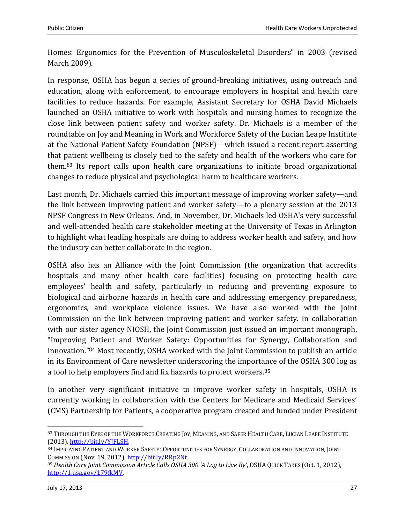Homes: Ergonomics for the Prevention of Musculoskeletal Disorders" in 2003 (revised March 2009).

In response, OSHA has begun a series of ground-breaking initiatives, using outreach and education, along with enforcement, to encourage employers in hospital and health care facilities to reduce hazards. For example, Assistant Secretary for OSHA David Michaels launched an OSHA initiative to work with hospitals and nursing homes to recognize the close link between patient safety and worker safety. Dr. Michaels is a member of the roundtable on Joy and Meaning in Work and Workforce Safety of the Lucian Leape Institute at the National Patient Safety Foundation (NPSF)—which issued a recent report asserting that patient wellbeing is closely tied to the safety and health of the workers who care for them.<sup>83</sup> Its report calls upon health care organizations to initiate broad organizational changes to reduce physical and psychological harm to healthcare workers.

Last month, Dr. Michaels carried this important message of improving worker safety—and the link between improving patient and worker safety—to a plenary session at the 2013 NPSF Congress in New Orleans. And, in November, Dr. Michaels led OSHA's very successful and well-attended health care stakeholder meeting at the University of Texas in Arlington to highlight what leading hospitals are doing to address worker health and safety, and how the industry can better collaborate in the region.

OSHA also has an Alliance with the Joint Commission (the organization that accredits hospitals and many other health care facilities) focusing on protecting health care employees' health and safety, particularly in reducing and preventing exposure to biological and airborne hazards in health care and addressing emergency preparedness, ergonomics, and workplace violence issues. We have also worked with the Joint Commission on the link between improving patient and worker safety. In collaboration with our sister agency NIOSH, the Joint Commission just issued an important monograph, "Improving Patient and Worker Safety: Opportunities for Synergy, Collaboration and Innovation."<sup>84</sup> Most recently, OSHA worked with the Joint Commission to publish an article in its Environment of Care newsletter underscoring the importance of the OSHA 300 log as a tool to help employers find and fix hazards to protect workers.<sup>85</sup>

In another very significant initiative to improve worker safety in hospitals, OSHA is currently working in collaboration with the Centers for Medicare and Medicaid Services' (CMS) Partnership for Patients, a cooperative program created and funded under President

 $\overline{a}$ 

<sup>83</sup> THROUGH THE EYES OF THE WORKFORCE CREATING JOY, MEANING, AND SAFER HEALTH CARE, LUCIAN LEAPE INSTITUTE (2013), [http://bit.ly/YJFLSH.](http://bit.ly/YJFLSH)

<sup>84</sup> IMPROVING PATIENT AND WORKER SAFETY: OPPORTUNITIES FOR SYNERGY, COLLABORATION AND INNOVATION, JOINT COMMISSION (Nov. 19, 2012)[, http://bit.ly/RRp2Nt.](http://bit.ly/RRp2Nt)

<sup>85</sup> *Health Care Joint Commission Article Calls OSHA 300 'A Log to Live By'*, OSHA QUICK TAKES (Oct. 1, 2012), [http://1.usa.gov/179fkMV.](http://1.usa.gov/179fkMV)